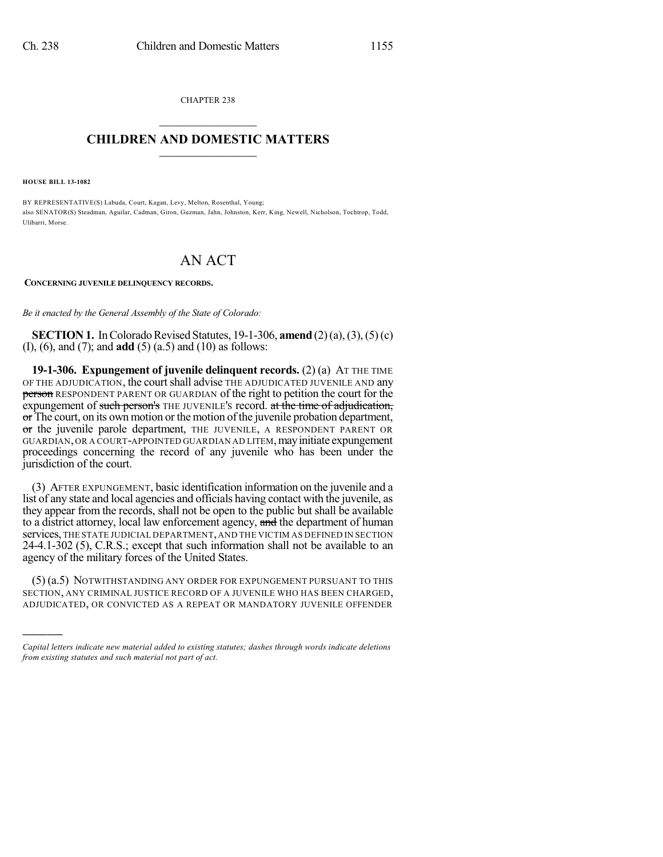CHAPTER 238  $\mathcal{L}_\text{max}$  . The set of the set of the set of the set of the set of the set of the set of the set of the set of the set of the set of the set of the set of the set of the set of the set of the set of the set of the set

## **CHILDREN AND DOMESTIC MATTERS**  $\_$

**HOUSE BILL 13-1082**

)))))

BY REPRESENTATIVE(S) Labuda, Court, Kagan, Levy, Melton, Rosenthal, Young; also SENATOR(S) Steadman, Aguilar, Cadman, Giron, Guzman, Jahn, Johnston, Kerr, King, Newell, Nicholson, Tochtrop, Todd, Ulibarri, Morse.

## AN ACT

## **CONCERNING JUVENILE DELINQUENCY RECORDS.**

*Be it enacted by the General Assembly of the State of Colorado:*

**SECTION 1.** In Colorado Revised Statutes, 19-1-306, **amend** (2)(a), (3), (5)(c) (I), (6), and (7); and **add** (5) (a.5) and (10) as follows:

**19-1-306. Expungement of juvenile delinquent records.** (2) (a) AT THE TIME OF THE ADJUDICATION, the court shall advise THE ADJUDICATED JUVENILE AND any person RESPONDENT PARENT OR GUARDIAN of the right to petition the court for the expungement of such person's THE JUVENILE's record. at the time of adjudication,  $\sigma$ . The court, on its own motion or the motion of the juvenile probation department, or the juvenile parole department, THE JUVENILE, A RESPONDENT PARENT OR GUARDIAN,OR A COURT-APPOINTED GUARDIAN AD LITEM,mayinitiate expungement proceedings concerning the record of any juvenile who has been under the jurisdiction of the court.

(3) AFTER EXPUNGEMENT, basic identification information on the juvenile and a list of any state and local agencies and officials having contact with the juvenile, as they appear from the records, shall not be open to the public but shall be available to a district attorney, local law enforcement agency, and the department of human services, THE STATE JUDICIAL DEPARTMENT,AND THE VICTIM AS DEFINED IN SECTION 24-4.1-302 (5), C.R.S.; except that such information shall not be available to an agency of the military forces of the United States.

(5) (a.5) NOTWITHSTANDING ANY ORDER FOR EXPUNGEMENT PURSUANT TO THIS SECTION, ANY CRIMINAL JUSTICE RECORD OF A JUVENILE WHO HAS BEEN CHARGED, ADJUDICATED, OR CONVICTED AS A REPEAT OR MANDATORY JUVENILE OFFENDER

*Capital letters indicate new material added to existing statutes; dashes through words indicate deletions from existing statutes and such material not part of act.*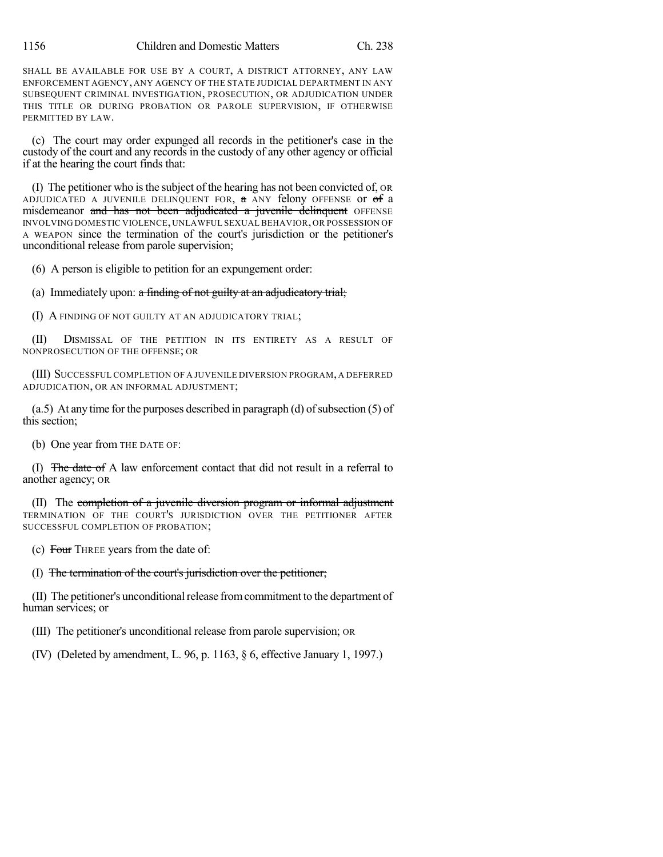1156 Children and Domestic Matters Ch. 238

SHALL BE AVAILABLE FOR USE BY A COURT, A DISTRICT ATTORNEY, ANY LAW ENFORCEMENT AGENCY, ANY AGENCY OF THE STATE JUDICIAL DEPARTMENT IN ANY SUBSEQUENT CRIMINAL INVESTIGATION, PROSECUTION, OR ADJUDICATION UNDER THIS TITLE OR DURING PROBATION OR PAROLE SUPERVISION, IF OTHERWISE PERMITTED BY LAW.

(c) The court may order expunged all records in the petitioner's case in the custody of the court and any records in the custody of any other agency or official if at the hearing the court finds that:

(I) The petitioner who isthe subject of the hearing has not been convicted of, OR ADJUDICATED A JUVENILE DELINQUENT FOR, a ANY felony OFFENSE or of a misdemeanor and has not been adjudicated a juvenile delinquent OFFENSE INVOLVING DOMESTIC VIOLENCE, UNLAWFUL SEXUAL BEHAVIOR, OR POSSESSION OF A WEAPON since the termination of the court's jurisdiction or the petitioner's unconditional release from parole supervision;

(6) A person is eligible to petition for an expungement order:

(a) Immediately upon: a finding of not guilty at an adjudicatory trial;

(I) A FINDING OF NOT GUILTY AT AN ADJUDICATORY TRIAL;

(II) DISMISSAL OF THE PETITION IN ITS ENTIRETY AS A RESULT OF NONPROSECUTION OF THE OFFENSE; OR

(III) SUCCESSFUL COMPLETION OF A JUVENILE DIVERSION PROGRAM, A DEFERRED ADJUDICATION, OR AN INFORMAL ADJUSTMENT;

(a.5) At any time for the purposes described in paragraph (d) of subsection  $(5)$  of this section;

(b) One year from THE DATE OF:

(I) The date of A law enforcement contact that did not result in a referral to another agency; OR

(II) The completion of a juvenile diversion program or informal adjustment TERMINATION OF THE COURT'S JURISDICTION OVER THE PETITIONER AFTER SUCCESSFUL COMPLETION OF PROBATION;

(c) Four THREE years from the date of:

(I) The termination of the court's jurisdiction over the petitioner;

(II) The petitioner's unconditional release from commitment to the department of human services; or

(III) The petitioner's unconditional release from parole supervision; OR

(IV) (Deleted by amendment, L. 96, p. 1163, § 6, effective January 1, 1997.)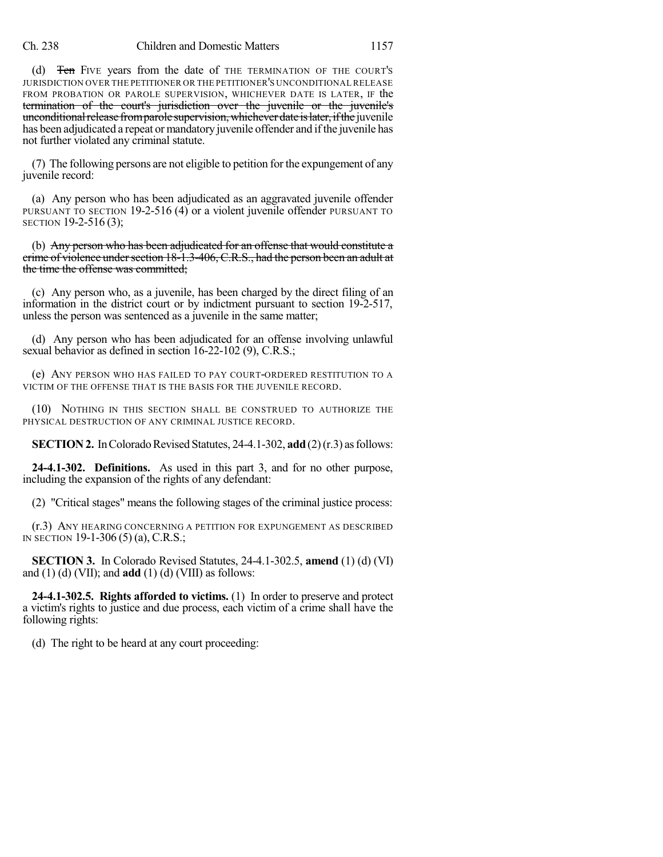(d) Ten FIVE years from the date of THE TERMINATION OF THE COURT'S JURISDICTION OVER THE PETITIONER OR THE PETITIONER'S UNCONDITIONAL RELEASE FROM PROBATION OR PAROLE SUPERVISION, WHICHEVER DATE IS LATER, IF the termination of the court's jurisdiction over the juvenile or the juvenile's unconditional release from parole supervision, whichever date is later, if the juvenile has been adjudicated a repeat or mandatory juvenile offender and if the juvenile has not further violated any criminal statute.

(7) The following persons are not eligible to petition for the expungement of any juvenile record:

(a) Any person who has been adjudicated as an aggravated juvenile offender PURSUANT TO SECTION 19-2-516 (4) or a violent juvenile offender PURSUANT TO SECTION 19-2-516 (3);

(b) Any person who has been adjudicated for an offense that would constitute a crime of violence under section 18-1.3-406, C.R.S., had the person been an adult at the time the offense was committed;

(c) Any person who, as a juvenile, has been charged by the direct filing of an information in the district court or by indictment pursuant to section 19-2-517, unless the person was sentenced as a juvenile in the same matter;

(d) Any person who has been adjudicated for an offense involving unlawful sexual behavior as defined in section 16-22-102 (9), C.R.S.;

(e) ANY PERSON WHO HAS FAILED TO PAY COURT-ORDERED RESTITUTION TO A VICTIM OF THE OFFENSE THAT IS THE BASIS FOR THE JUVENILE RECORD.

(10) NOTHING IN THIS SECTION SHALL BE CONSTRUED TO AUTHORIZE THE PHYSICAL DESTRUCTION OF ANY CRIMINAL JUSTICE RECORD.

**SECTION 2.** In Colorado Revised Statutes, 24-4.1-302, add (2) (r.3) as follows:

**24-4.1-302. Definitions.** As used in this part 3, and for no other purpose, including the expansion of the rights of any defendant:

(2) "Critical stages" means the following stages of the criminal justice process:

(r.3) ANY HEARING CONCERNING A PETITION FOR EXPUNGEMENT AS DESCRIBED IN SECTION 19-1-306 (5) (a), C.R.S.;

**SECTION 3.** In Colorado Revised Statutes, 24-4.1-302.5, **amend** (1) (d) (VI) and (1) (d) (VII); and **add** (1) (d) (VIII) as follows:

**24-4.1-302.5. Rights afforded to victims.** (1) In order to preserve and protect a victim's rights to justice and due process, each victim of a crime shall have the following rights:

(d) The right to be heard at any court proceeding: